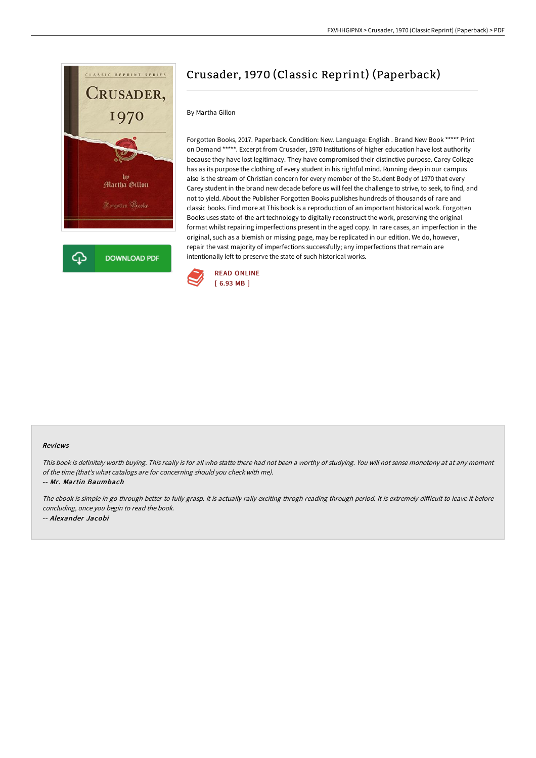

## Crusader, 1970 (Classic Reprint) (Paperback)

## By Martha Gillon

Forgotten Books, 2017. Paperback. Condition: New. Language: English . Brand New Book \*\*\*\*\* Print on Demand \*\*\*\*\*. Excerpt from Crusader, 1970 Institutions of higher education have lost authority because they have lost legitimacy. They have compromised their distinctive purpose. Carey College has as its purpose the clothing of every student in his rightful mind. Running deep in our campus also is the stream of Christian concern for every member of the Student Body of 1970 that every Carey student in the brand new decade before us will feel the challenge to strive, to seek, to find, and not to yield. About the Publisher Forgotten Books publishes hundreds of thousands of rare and classic books. Find more at This book is a reproduction of an important historical work. Forgotten Books uses state-of-the-art technology to digitally reconstruct the work, preserving the original format whilst repairing imperfections present in the aged copy. In rare cases, an imperfection in the original, such as a blemish or missing page, may be replicated in our edition. We do, however, repair the vast majority of imperfections successfully; any imperfections that remain are intentionally left to preserve the state of such historical works.



## Reviews

This book is definitely worth buying. This really is for all who statte there had not been <sup>a</sup> worthy of studying. You will not sense monotony at at any moment of the time (that's what catalogs are for concerning should you check with me).

-- Mr. Martin Baumbach

The ebook is simple in go through better to fully grasp. It is actually rally exciting throgh reading through period. It is extremely difficult to leave it before concluding, once you begin to read the book. -- Alexander Jacobi